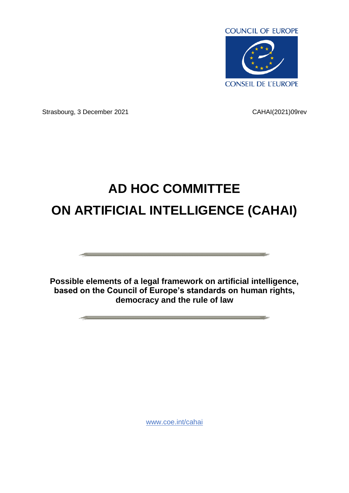

Strasbourg, 3 December 2021 CAHAI(2021)09rev

# **AD HOC COMMITTEE ON ARTIFICIAL INTELLIGENCE (CAHAI)**

**Possible elements of a legal framework on artificial intelligence, based on the Council of Europe's standards on human rights, democracy and the rule of law**

[www.coe.int/cahai](http://www.coe.int/cahai)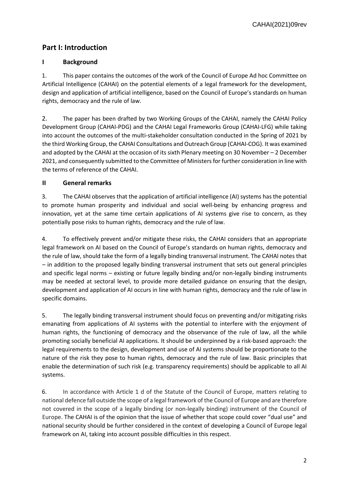CAHAI(2021)09rev

# **Part I: Introduction**

## **I Background**

1. This paper contains the outcomes of the work of the Council of Europe Ad hoc Committee on Artificial Intelligence (CAHAI) on the potential elements of a legal framework for the development, design and application of artificial intelligence, based on the Council of Europe's standards on human rights, democracy and the rule of law.

2. The paper has been drafted by two Working Groups of the CAHAI, namely the CAHAI Policy Development Group (CAHAI-PDG) and the CAHAI Legal Frameworks Group (CAHAI-LFG) while taking into account the outcomes of the multi-stakeholder consultation conducted in the Spring of 2021 by the third Working Group, the CAHAI Consultations and Outreach Group (CAHAI-COG). It was examined and adopted by the CAHAI at the occasion of its sixth Plenary meeting on 30 November – 2 December 2021, and consequently submitted to the Committee of Ministers for further consideration in line with the terms of reference of the CAHAI.

#### **II General remarks**

3. The CAHAI observes that the application of artificial intelligence (AI) systems has the potential to promote human prosperity and individual and social well-being by enhancing progress and innovation, yet at the same time certain applications of AI systems give rise to concern, as they potentially pose risks to human rights, democracy and the rule of law.

4. To effectively prevent and/or mitigate these risks, the CAHAI considers that an appropriate legal framework on AI based on the Council of Europe's standards on human rights, democracy and the rule of law, should take the form of a legally binding transversal instrument. The CAHAI notes that – in addition to the proposed legally binding transversal instrument that sets out general principles and specific legal norms – existing or future legally binding and/or non-legally binding instruments may be needed at sectoral level, to provide more detailed guidance on ensuring that the design, development and application of AI occurs in line with human rights, democracy and the rule of law in specific domains.

5. The legally binding transversal instrument should focus on preventing and/or mitigating risks emanating from applications of AI systems with the potential to interfere with the enjoyment of human rights, the functioning of democracy and the observance of the rule of law, all the while promoting socially beneficial AI applications. It should be underpinned by a risk-based approach: the legal requirements to the design, development and use of AI systems should be proportionate to the nature of the risk they pose to human rights, democracy and the rule of law. Basic principles that enable the determination of such risk (e.g. transparency requirements) should be applicable to all AI systems.

6. In accordance with Article 1 d of the Statute of the Council of Europe, matters relating to national defence fall outside the scope of a legal framework of the Council of Europe and are therefore not covered in the scope of a legally binding (or non-legally binding) instrument of the Council of Europe. The CAHAI is of the opinion that the issue of whether that scope could cover "dual use" and national security should be further considered in the context of developing a Council of Europe legal framework on AI, taking into account possible difficulties in this respect.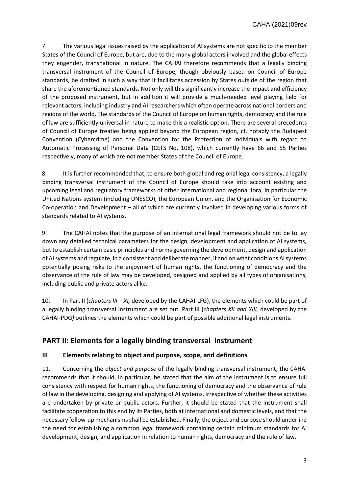7. The various legal issues raised by the application of AI systems are not specific to the member States of the Council of Europe, but are, due to the many global actors involved and the global effects they engender, transnational in nature. The CAHAI therefore recommends that a legally binding transversal instrument of the Council of Europe, though obviously based on Council of Europe standards, be drafted in such a way that it facilitates accession by States outside of the region that share the aforementioned standards. Not only will this significantly increase the impact and efficiency of the proposed instrument, but in addition it will provide a much-needed level playing field for relevant actors, including industry and AI researchers which often operate across national borders and regions of the world. The standards of the Council of Europe on human rights, democracy and the rule of law are sufficiently universal in nature to make this a realistic option. There are several precedents of Council of Europe treaties being applied beyond the European region, cf. notably the Budapest Convention (Cybercrime) and the Convention for the Protection of Individuals with regard to Automatic Processing of Personal Data (CETS No. 108), which currently have 66 and 55 Parties respectively, many of which are not member States of the Council of Europe.

8. It is further recommended that, to ensure both global and regional legal consistency, a legally binding transversal instrument of the Council of Europe should take into account existing and upcoming legal and regulatory frameworks of other international and regional fora, in particular the United Nations system (including UNESCO), the European Union, and the Organisation for Economic Co-operation and Development – all of which are currently involved in developing various forms of standards related to AI systems.

9. The CAHAI notes that the purpose of an international legal framework should not be to lay down any detailed technical parameters for the design, development and application of AI systems, but to establish certain basic principles and norms governing the development, design and application of AI systems and regulate, in a consistent and deliberate manner, if and on what conditions AI systems potentially posing risks to the enjoyment of human rights, the functioning of democracy and the observance of the rule of law may be developed, designed and applied by all types of organisations, including public and private actors alike.

10. In Part II (*chapters III – XI,* developed by the CAHAI-LFG), the elements which could be part of a legally binding transversal instrument are set out. Part III (*chapters XII and XIII,* developed by the CAHAI-PDG*)* outlines the elements which could be part of possible additional legal instruments.

## **PART II: Elements for a legally binding transversal instrument**

#### **III Elements relating to object and purpose, scope, and definitions**

11. Concerning the *object and purpose* of the legally binding transversal instrument, the CAHAI recommends that it should, in particular, be stated that the aim of the instrument is to ensure full consistency with respect for human rights, the functioning of democracy and the observance of rule of law in the developing, designing and applying of AI systems, irrespective of whether these activities are undertaken by private or public actors. Further, it should be stated that the instrument shall facilitate cooperation to this end by its Parties, both at international and domestic levels, and that the necessary follow-up mechanisms shall be established. Finally, the object and purpose should underline the need for establishing a common legal framework containing certain minimum standards for AI development, design, and application in relation to human rights, democracy and the rule of law.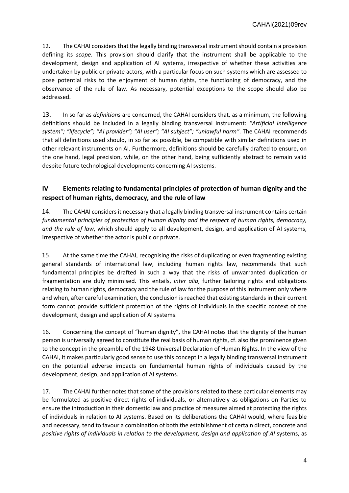12. The CAHAI considers that the legally binding transversal instrument should contain a provision defining its *scope*. This provision should clarify that the instrument shall be applicable to the development, design and application of AI systems, irrespective of whether these activities are undertaken by public or private actors, with a particular focus on such systems which are assessed to pose potential risks to the enjoyment of human rights, the functioning of democracy, and the observance of the rule of law. As necessary, potential exceptions to the scope should also be addressed.

13. In so far as *definitions* are concerned, the CAHAI considers that, as a minimum, the following definitions should be included in a legally binding transversal instrument: *"Artificial intelligence system"; "lifecycle"; "AI provider"; "AI user"; "AI subject"; "unlawful harm"*. The CAHAI recommends that all definitions used should, in so far as possible, be compatible with similar definitions used in other relevant instruments on AI. Furthermore, definitions should be carefully drafted to ensure, on the one hand, legal precision, while, on the other hand, being sufficiently abstract to remain valid despite future technological developments concerning AI systems.

## **IV Elements relating to fundamental principles of protection of human dignity and the respect of human rights, democracy, and the rule of law**

14. The CAHAI considers it necessary that a legally binding transversal instrument contains certain *fundamental principles of protection of human dignity and the respect of human rights, democracy, and the rule of law*, which should apply to all development, design, and application of AI systems, irrespective of whether the actor is public or private.

15. At the same time the CAHAI, recognising the risks of duplicating or even fragmenting existing general standards of international law, including human rights law, recommends that such fundamental principles be drafted in such a way that the risks of unwarranted duplication or fragmentation are duly minimised. This entails, *inter alia*, further tailoring rights and obligations relating to human rights, democracy and the rule of law for the purpose of this instrument only where and when, after careful examination, the conclusion is reached that existing standards in their current form cannot provide sufficient protection of the rights of individuals in the specific context of the development, design and application of AI systems.

16. Concerning the concept of "human dignity", the CAHAI notes that the dignity of the human person is universally agreed to constitute the real basis of human rights, cf. also the prominence given to the concept in the preamble of the 1948 Universal Declaration of Human Rights. In the view of the CAHAI, it makes particularly good sense to use this concept in a legally binding transversal instrument on the potential adverse impacts on fundamental human rights of individuals caused by the development, design, and application of AI systems.

17. The CAHAI further notes that some of the provisions related to these particular elements may be formulated as positive direct rights of individuals, or alternatively as obligations on Parties to ensure the introduction in their domestic law and practice of measures aimed at protecting the rights of individuals in relation to AI systems. Based on its deliberations the CAHAI would, where feasible and necessary, tend to favour a combination of both the establishment of certain direct, concrete and *positive rights of individuals in relation to the development, design and application of AI* systems, as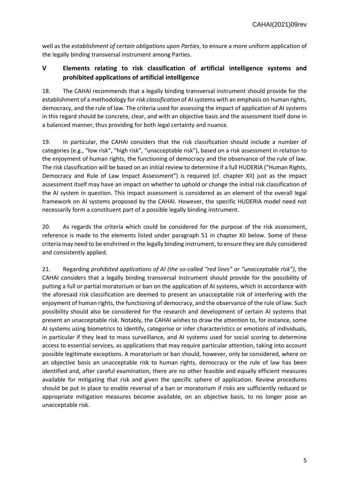well as the *establishment of certain obligations upon Parties*, to ensure a more uniform application of the legally binding transversal instrument among Parties.

## **V Elements relating to risk classification of artificial intelligence systems and prohibited applications of artificial intelligence**

18. The CAHAI recommends that a legally binding transversal instrument should provide for the establishment of a methodology for *risk classification* of AI systems with an emphasis on human rights, democracy, and the rule of law. The criteria used for assessing the impact of application of AI systems in this regard should be concrete, clear, and with an objective basis and the assessment itself done in a balanced manner, thus providing for both legal certainty and nuance.

19. In particular, the CAHAI considers that the risk classification should include a number of categories (e.g., "low risk", "high risk", "unacceptable risk"), based on a risk assessment in relation to the enjoyment of human rights, the functioning of democracy and the observance of the rule of law. The risk classification will be based on an initial review to determine if a full HUDERIA ("Human Rights, Democracy and Rule of Law Impact Assessment") is required (cf. chapter XII) just as the impact assessment itself may have an impact on whether to uphold or change the initial risk classification of the AI system in question. This impact assessment is considered as an element of the overall legal framework on AI systems proposed by the CAHAI. However, the specific HUDERIA model need not necessarily form a constituent part of a possible legally binding instrument.

20. As regards the criteria which could be considered for the purpose of the risk assessment, reference is made to the elements listed under paragraph 51 in chapter XII below. Some of these criteria may need to be enshrined in the legally binding instrument, to ensure they are duly considered and consistently applied.

21. Regarding *prohibited applications of AI (the so-called "red lines" or "unacceptable risk")*, the CAHAI considers that a legally binding transversal instrument should provide for the possibility of putting a full or partial moratorium or ban on the application of AI systems, which in accordance with the aforesaid risk classification are deemed to present an unacceptable risk of interfering with the enjoyment of human rights, the functioning of democracy, and the observance of the rule of law. Such possibility should also be considered for the research and development of certain AI systems that present an unacceptable risk. Notably, the CAHAI wishes to draw the attention to, for instance, some AI systems using biometrics to identify, categorise or infer characteristics or emotions of individuals, in particular if they lead to mass surveillance, and AI systems used for social scoring to determine access to essential services, as applications that may require particular attention, taking into account possible legitimate exceptions. A moratorium or ban should, however, only be considered, where on an objective basis an unacceptable risk to human rights, democracy or the rule of law has been identified and, after careful examination, there are no other feasible and equally efficient measures available for mitigating that risk and given the specific sphere of application. Review procedures should be put in place to enable reversal of a ban or moratorium if risks are sufficiently reduced or appropriate mitigation measures become available, on an objective basis, to no longer pose an unacceptable risk.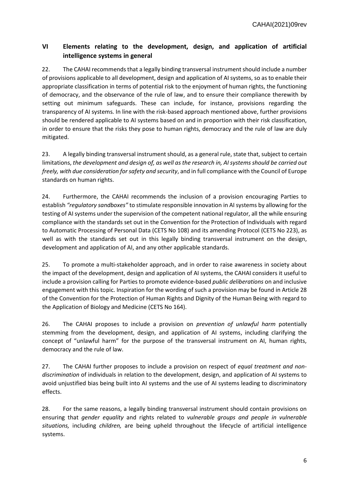## **VI Elements relating to the development, design, and application of artificial intelligence systems in general**

22. The CAHAI recommends that a legally binding transversal instrument should include a number of provisions applicable to all development, design and application of AI systems, so as to enable their appropriate classification in terms of potential risk to the enjoyment of human rights, the functioning of democracy, and the observance of the rule of law, and to ensure their compliance therewith by setting out minimum safeguards. These can include, for instance, provisions regarding the transparency of AI systems. In line with the risk-based approach mentioned above, further provisions should be rendered applicable to AI systems based on and in proportion with their risk classification, in order to ensure that the risks they pose to human rights, democracy and the rule of law are duly mitigated.

23. A legally binding transversal instrument should, as a general rule, state that, subject to certain limitations, *the development and design of, as well as the research in, AI systems should be carried out freely, with due consideration forsafety and security*, and in full compliance with the Council of Europe standards on human rights.

24. Furthermore, the CAHAI recommends the inclusion of a provision encouraging Parties to establish *"regulatory sandboxes"* to stimulate responsible innovation in AI systems by allowing for the testing of AI systems under the supervision of the competent national regulator, all the while ensuring compliance with the standards set out in the Convention for the Protection of Individuals with regard to Automatic Processing of Personal Data (CETS No 108) and its amending Protocol (CETS No 223), as well as with the standards set out in this legally binding transversal instrument on the design, development and application of AI, and any other applicable standards.

25. To promote a multi-stakeholder approach, and in order to raise awareness in society about the impact of the development, design and application of AI systems, the CAHAI considers it useful to include a provision calling for Parties to promote evidence-based *public deliberations* on and inclusive engagement with this topic. Inspiration for the wording of such a provision may be found in Article 28 of the Convention for the Protection of Human Rights and Dignity of the Human Being with regard to the Application of Biology and Medicine (CETS No 164).

26. The CAHAI proposes to include a provision on *prevention of unlawful harm* potentially stemming from the development, design, and application of AI systems, including clarifying the concept of "unlawful harm" for the purpose of the transversal instrument on AI, human rights, democracy and the rule of law.

27. The CAHAI further proposes to include a provision on respect of *equal treatment and nondiscrimination* of individuals in relation to the development, design, and application of AI systems to avoid unjustified bias being built into AI systems and the use of AI systems leading to discriminatory effects.

28. For the same reasons, a legally binding transversal instrument should contain provisions on ensuring that *gender equality* and rights related to *vulnerable groups and people in vulnerable situations,* including *children,* are being upheld throughout the lifecycle of artificial intelligence systems.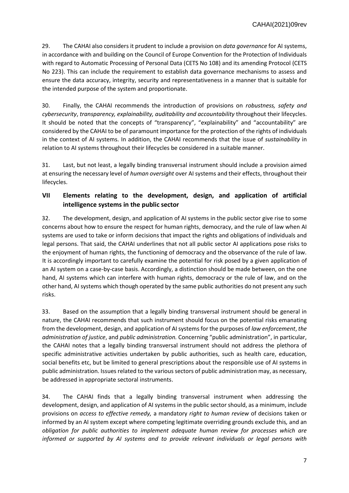29. The CAHAI also considers it prudent to include a provision on *data governance* for AI systems, in accordance with and building on the Council of Europe Convention for the Protection of Individuals with regard to Automatic Processing of Personal Data (CETS No 108) and its amending Protocol (CETS No 223). This can include the requirement to establish data governance mechanisms to assess and ensure the data accuracy, integrity, security and representativeness in a manner that is suitable for the intended purpose of the system and proportionate.

30. Finally, the CAHAI recommends the introduction of provisions on *robustness, safety and cybersecurity*, *transparency, explainability, auditability and accountability* throughout their lifecycles. It should be noted that the concepts of "transparency", "explainability" and "accountability" are considered by the CAHAI to be of paramount importance for the protection of the rights of individuals in the context of AI systems. In addition, the CAHAI recommends that the issue of *sustainability* in relation to AI systems throughout their lifecycles be considered in a suitable manner.

31. Last, but not least, a legally binding transversal instrument should include a provision aimed at ensuring the necessary level of *human oversight* over AI systems and their effects, throughout their lifecycles.

## **VII Elements relating to the development, design, and application of artificial intelligence systems in the public sector**

32. The development, design, and application of AI systems in the public sector give rise to some concerns about how to ensure the respect for human rights, democracy, and the rule of law when AI systems are used to take or inform decisions that impact the rights and obligations of individuals and legal persons. That said, the CAHAI underlines that not all public sector AI applications pose risks to the enjoyment of human rights, the functioning of democracy and the observance of the rule of law. It is accordingly important to carefully examine the potential for risk posed by a given application of an AI system on a case-by-case basis. Accordingly, a distinction should be made between, on the one hand, AI systems which can interfere with human rights, democracy or the rule of law, and on the other hand, AI systems which though operated by the same public authorities do not present any such risks.

33. Based on the assumption that a legally binding transversal instrument should be general in nature, the CAHAI recommends that such instrument should focus on the potential risks emanating from the development, design, and application of AI systems for the purposes of *law enforcement*, *the administration of justice*, and *public administration.* Concerning "public administration", in particular, the CAHAI notes that a legally binding transversal instrument should not address the plethora of specific administrative activities undertaken by public authorities, such as health care, education, social benefits etc, but be limited to general prescriptions about the responsible use of AI systems in public administration. Issues related to the various sectors of public administration may, as necessary, be addressed in appropriate sectoral instruments.

34. The CAHAI finds that a legally binding transversal instrument when addressing the development, design, and application of AI systems in the public sector should, as a minimum, include provisions on *access to effective remedy,* a mandatory *right to human review* of decisions taken or informed by an AI system except where competing legitimate overriding grounds exclude this*,* and an *obligation for public authorities to implement adequate human review for processes which are informed or supported by AI systems and to provide relevant individuals or legal persons with*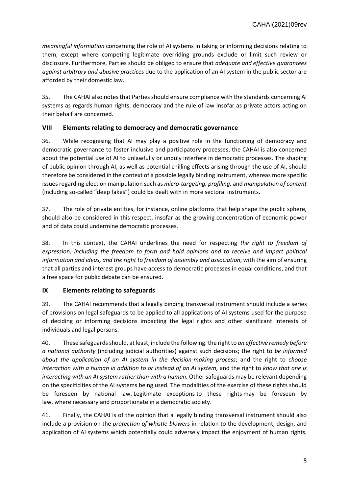*meaningful information* concerning the role of AI systems in taking or informing decisions relating to them, except where competing legitimate overriding grounds exclude or limit such review or disclosure. Furthermore, Parties should be obliged to ensure that *adequate and effective guarantees against arbitrary and abusive practices* due to the application of an AI system in the public sector are afforded by their domestic law.

35. The CAHAI also notes that Parties should ensure compliance with the standards concerning AI systems as regards human rights, democracy and the rule of law insofar as private actors acting on their behalf are concerned.

#### **VIII Elements relating to democracy and democratic governance**

36. While recognising that AI may play a positive role in the functioning of democracy and democratic governance to foster inclusive and participatory processes, the CAHAI is also concerned about the potential use of AI to unlawfully or unduly interfere in democratic processes. The shaping of public opinion through AI, as well as potential chilling effects arising through the use of AI, should therefore be considered in the context of a possible legally binding instrument, whereas more specific issues regarding election manipulation such as *micro-targeting, profiling,* and *manipulation of content* (including so-called "deep fakes") could be dealt with in more sectoral instruments.

37. The role of private entities, for instance, online platforms that help shape the public sphere, should also be considered in this respect, insofar as the growing concentration of economic power and of data could undermine democratic processes.

38. In this context, the CAHAI underlines the need for respecting *the right to freedom of expression, including the freedom to form and hold opinions and to receive and impart political information and ideas, and the right to freedom of assembly and association*, with the aim of ensuring that all parties and interest groups have access to democratic processes in equal conditions, and that a free space for public debate can be ensured.

#### **IX Elements relating to safeguards**

39. The CAHAI recommends that a legally binding transversal instrument should include a series of provisions on legal safeguards to be applied to all applications of AI systems used for the purpose of deciding or informing decisions impacting the legal rights and other significant interests of individuals and legal persons.

40. These safeguards should, at least, include the following: the right to *an effective remedy before a national authority* (including judicial authorities) against such decisions; the right to *be informed about the application of an AI system in the decision-making process*; and the right to *choose interaction with a human in addition to or instead of an AI system,* and the right to *know that one is interacting with an AI system rather than with a human.* Other safeguards may be relevant depending on the specificities of the AI systems being used. The modalities of the exercise of these rights should be foreseen by national law. Legitimate exceptions to these rights may be foreseen by law, where necessary and proportionate in a democratic society.

41. Finally, the CAHAI is of the opinion that a legally binding transversal instrument should also include a provision on the *protection of whistle-blowers* in relation to the development, design, and application of AI systems which potentially could adversely impact the enjoyment of human rights,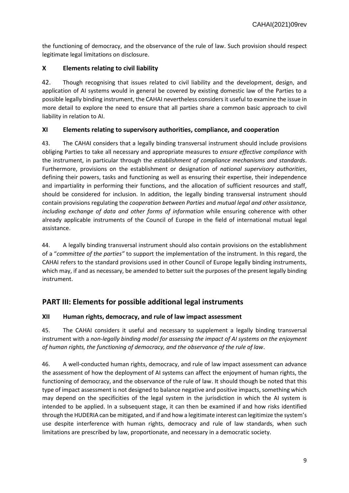the functioning of democracy, and the observance of the rule of law. Such provision should respect legitimate legal limitations on disclosure.

#### **X Elements relating to civil liability**

42. Though recognising that issues related to civil liability and the development, design, and application of AI systems would in general be covered by existing domestic law of the Parties to a possible legally binding instrument, the CAHAI nevertheless considers it useful to examine the issue in more detail to explore the need to ensure that all parties share a common basic approach to civil liability in relation to AI.

#### **XI Elements relating to supervisory authorities, compliance, and cooperation**

43. The CAHAI considers that a legally binding transversal instrument should include provisions obliging Parties to take all necessary and appropriate measures to *ensure effective compliance* with the instrument, in particular through the *establishment of compliance mechanisms and standards*. Furthermore, provisions on the establishment or designation of *national supervisory authorities*, defining their powers, tasks and functioning as well as ensuring their expertise, their independence and impartiality in performing their functions, and the allocation of sufficient resources and staff, should be considered for inclusion. In addition, the legally binding transversal instrument should contain provisions regulating the *cooperation between Parties* and *mutual legal and other assistance, including exchange of data and other forms of information* while ensuring coherence with other already applicable instruments of the Council of Europe in the field of international mutual legal assistance.

44. A legally binding transversal instrument should also contain provisions on the establishment of a "*committee of the parties"* to support the implementation of the instrument. In this regard, the CAHAI refers to the standard provisions used in other Council of Europe legally binding instruments, which may, if and as necessary, be amended to better suit the purposes of the present legally binding instrument.

# **PART III: Elements for possible additional legal instruments**

### **XII Human rights, democracy, and rule of law impact assessment**

45. The CAHAI considers it useful and necessary to supplement a legally binding transversal instrument with a *non-legally binding model for assessing the impact of AI systems on the enjoyment of human rights, the functioning of democracy, and the observance of the rule of law*.

46. A well-conducted human rights, democracy, and rule of law impact assessment can advance the assessment of how the deployment of AI systems can affect the enjoyment of human rights, the functioning of democracy, and the observance of the rule of law. It should though be noted that this type of impact assessment is not designed to balance negative and positive impacts, something which may depend on the specificities of the legal system in the jurisdiction in which the AI system is intended to be applied. In a subsequent stage, it can then be examined if and how risks identified through the HUDERIA can be mitigated, and if and how a legitimate interest can legitimize the system's use despite interference with human rights, democracy and rule of law standards, when such limitations are prescribed by law, proportionate, and necessary in a democratic society.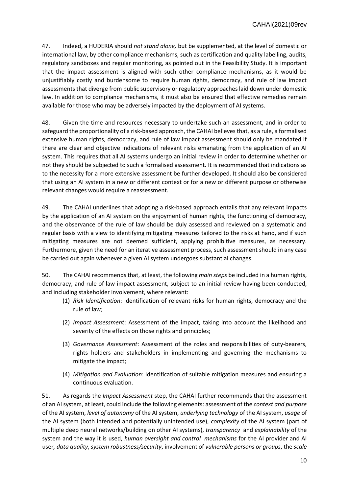47. Indeed, a HUDERIA should *not stand alone,* but be supplemented, at the level of domestic or international law, by other compliance mechanisms, such as certification and quality labelling, audits, regulatory sandboxes and regular monitoring, as pointed out in the Feasibility Study. It is important that the impact assessment is aligned with such other compliance mechanisms, as it would be unjustifiably costly and burdensome to require human rights, democracy, and rule of law impact assessments that diverge from public supervisory or regulatory approaches laid down under domestic law. In addition to compliance mechanisms, it must also be ensured that effective remedies remain available for those who may be adversely impacted by the deployment of AI systems.

48. Given the time and resources necessary to undertake such an assessment, and in order to safeguard the proportionality of a risk-based approach, the CAHAI believes that, as a rule, a formalised extensive human rights, democracy, and rule of law impact assessment should only be mandated if there are clear and objective indications of relevant risks emanating from the application of an AI system. This requires that all AI systems undergo an initial review in order to determine whether or not they should be subjected to such a formalised assessment. It is recommended that indications as to the necessity for a more extensive assessment be further developed. It should also be considered that using an AI system in a new or different context or for a new or different purpose or otherwise relevant changes would require a reassessment.

49. The CAHAI underlines that adopting a risk-based approach entails that any relevant impacts by the application of an AI system on the enjoyment of human rights, the functioning of democracy, and the observance of the rule of law should be duly assessed and reviewed on a systematic and regular basis with a view to identifying mitigating measures tailored to the risks at hand, and if such mitigating measures are not deemed sufficient, applying prohibitive measures, as necessary. Furthermore, given the need for an iterative assessment process, such assessment should in any case be carried out again whenever a given AI system undergoes substantial changes.

50. The CAHAI recommends that, at least, the following *main steps* be included in a human rights, democracy, and rule of law impact assessment, subject to an initial review having been conducted, and including stakeholder involvement, where relevant:

- (1) *Risk Identification*: Identification of relevant risks for human rights, democracy and the rule of law;
- (2) *Impact Assessment*: Assessment of the impact, taking into account the likelihood and severity of the effects on those rights and principles;
- (3) *Governance Assessment*: Assessment of the roles and responsibilities of duty-bearers, rights holders and stakeholders in implementing and governing the mechanisms to mitigate the impact;
- (4) *Mitigation and Evaluation*: Identification of suitable mitigation measures and ensuring a continuous evaluation.

51. As regards the *Impact Assessment* step, the CAHAI further recommends that the assessment of an AI system, at least, could include the following elements: assessment of the *context and purpose* of the AI system, *level of autonomy* of the AI system, *underlying technology* of the AI system, *usage* of the AI system (both intended and potentially unintended use), *complexity* of the AI system (part of multiple deep neural networks/building on other AI systems), *transparency* and *explainability* of the system and the way it is used, *human oversight and control mechanisms* for the AI provider and AI user*, data quality*, *system robustness/security*, involvement of *vulnerable persons or groups*, the *scale*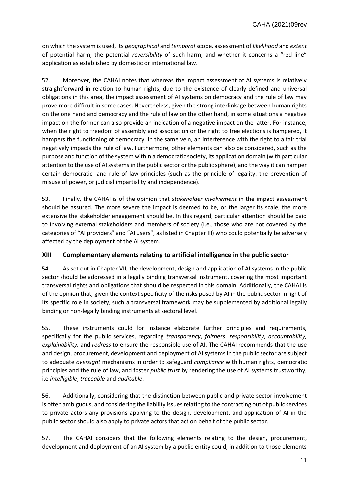on which the system is used, its *geographical* and *temporal*scope, assessment of *likelihood* and *extent* of potential harm, the potential *reversibility* of such harm, and whether it concerns a "red line" application as established by domestic or international law.

52. Moreover, the CAHAI notes that whereas the impact assessment of AI systems is relatively straightforward in relation to human rights, due to the existence of clearly defined and universal obligations in this area, the impact assessment of AI systems on democracy and the rule of law may prove more difficult in some cases. Nevertheless, given the strong interlinkage between human rights on the one hand and democracy and the rule of law on the other hand, in some situations a negative impact on the former can also provide an indication of a negative impact on the latter. For instance, when the right to freedom of assembly and association or the right to free elections is hampered, it hampers the functioning of democracy. In the same vein, an interference with the right to a fair trial negatively impacts the rule of law. Furthermore, other elements can also be considered, such as the purpose and function of the system within a democratic society, its application domain (with particular attention to the use of AI systems in the public sector or the public sphere), and the way it can hamper certain democratic- and rule of law-principles (such as the principle of legality, the prevention of misuse of power, or judicial impartiality and independence).

53. Finally, the CAHAI is of the opinion that *stakeholder involvement* in the impact assessment should be assured. The more severe the impact is deemed to be, or the larger its scale, the more extensive the stakeholder engagement should be. In this regard, particular attention should be paid to involving external stakeholders and members of society (i.e., those who are not covered by the categories of "AI providers" and "AI users", as listed in Chapter III) who could potentially be adversely affected by the deployment of the AI system.

#### **XIII Complementary elements relating to artificial intelligence in the public sector**

54. As set out in Chapter VII, the development, design and application of AI systems in the public sector should be addressed in a legally binding transversal instrument, covering the most important transversal rights and obligations that should be respected in this domain. Additionally, the CAHAI is of the opinion that, given the context specificity of the risks posed by AI in the public sector in light of its specific role in society, such a transversal framework may be supplemented by additional legally binding or non-legally binding instruments at sectoral level.

55. These instruments could for instance elaborate further principles and requirements, specifically for the public services, regarding *transparency*, *fairness*, *responsibility*, *accountability, explainability,* and *redress* to ensure the responsible use of AI. The CAHAI recommends that the use and design, procurement, development and deployment of AI systems in the public sector are subject to adequate *oversight* mechanisms in order to safeguard *compliance* with human rights, democratic principles and the rule of law, and foster *public trust* by rendering the use of AI systems trustworthy, i.e *intelligible*, *traceable* and *auditable*.

56. Additionally, considering that the distinction between public and private sector involvement is often ambiguous, and considering the liability issues relating to the contracting out of public services to private actors any provisions applying to the design, development, and application of AI in the public sector should also apply to private actors that act on behalf of the public sector.

57. The CAHAI considers that the following elements relating to the design, procurement, development and deployment of an AI system by a public entity could, in addition to those elements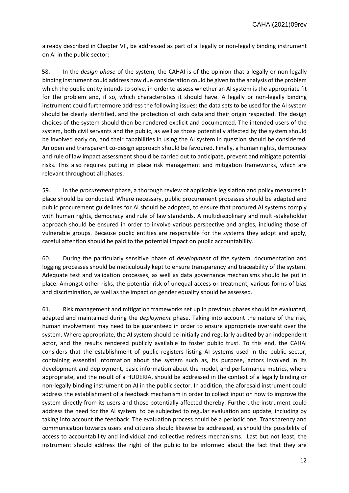already described in Chapter VII, be addressed as part of a legally or non-legally binding instrument on AI in the public sector:

58. In the *design phase* of the system, the CAHAI is of the opinion that a legally or non-legally binding instrument could address how due consideration could be given to the analysis of the problem which the public entity intends to solve, in order to assess whether an AI system is the appropriate fit for the problem and, if so, which characteristics it should have. A legally or non-legally binding instrument could furthermore address the following issues: the data sets to be used for the AI system should be clearly identified, and the protection of such data and their origin respected. The design choices of the system should then be rendered explicit and documented. The intended users of the system, both civil servants and the public, as well as those potentially affected by the system should be involved early on, and their capabilities in using the AI system in question should be considered. An open and transparent co-design approach should be favoured. Finally, a human rights, democracy and rule of law impact assessment should be carried out to anticipate, prevent and mitigate potential risks. This also requires putting in place risk management and mitigation frameworks, which are relevant throughout all phases.

59. In the *procurement* phase, a thorough review of applicable legislation and policy measures in place should be conducted. Where necessary, public procurement processes should be adapted and public procurement guidelines for AI should be adopted, to ensure that procured AI systems comply with human rights, democracy and rule of law standards. A multidisciplinary and multi-stakeholder approach should be ensured in order to involve various perspective and angles, including those of vulnerable groups. Because public entities are responsible for the systems they adopt and apply, careful attention should be paid to the potential impact on public accountability.

60. During the particularly sensitive phase of *development* of the system, documentation and logging processes should be meticulously kept to ensure transparency and traceability of the system. Adequate test and validation processes, as well as data governance mechanisms should be put in place. Amongst other risks, the potential risk of unequal access or treatment, various forms of bias and discrimination, as well as the impact on gender equality should be assessed.

61. Risk management and mitigation frameworks set up in previous phases should be evaluated, adapted and maintained during the *deployment* phase. Taking into account the nature of the risk, human involvement may need to be guaranteed in order to ensure appropriate oversight over the system. Where appropriate, the AI system should be initially and regularly audited by an independent actor, and the results rendered publicly available to foster public trust. To this end, the CAHAI considers that the establishment of public registers listing AI systems used in the public sector, containing essential information about the system such as, its purpose, actors involved in its development and deployment, basic information about the model, and performance metrics, where appropriate, and the result of a HUDERIA, should be addressed in the context of a legally binding or non-legally binding instrument on AI in the public sector. In addition, the aforesaid instrument could address the establishment of a feedback mechanism in order to collect input on how to improve the system directly from its users and those potentially affected thereby. Further, the instrument could address the need for the AI system to be subjected to regular evaluation and update, including by taking into account the feedback. The evaluation process could be a periodic one. Transparency and communication towards users and citizens should likewise be addressed, as should the possibility of access to accountability and individual and collective redress mechanisms. Last but not least, the instrument should address the right of the public to be informed about the fact that they are